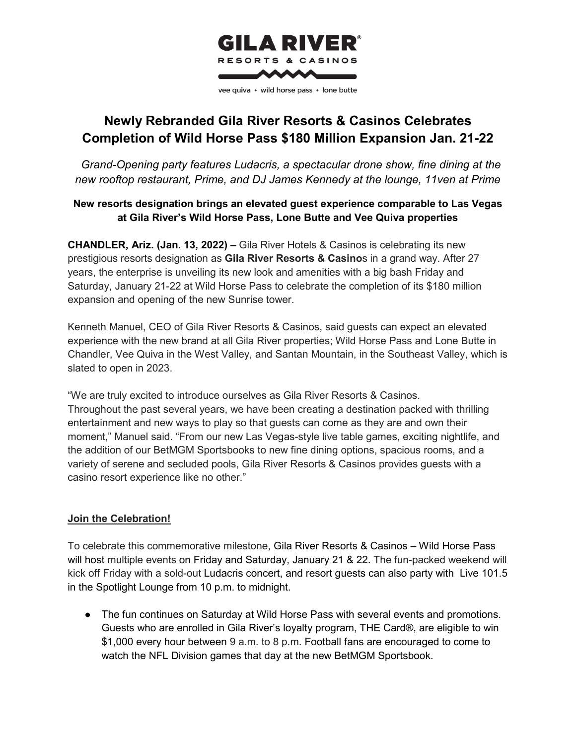

## **Newly Rebranded Gila River Resorts & Casinos Celebrates Completion of Wild Horse Pass \$180 Million Expansion Jan. 21-22**

 *Grand-Opening party features Ludacris, a spectacular drone show, fine dining at the new rooftop restaurant, Prime, and DJ James Kennedy at the lounge, 11ven at Prime*

### **New resorts designation brings an elevated guest experience comparable to Las Vegas at Gila River's Wild Horse Pass, Lone Butte and Vee Quiva properties**

**CHANDLER, Ariz. (Jan. 13, 2022) –** Gila River Hotels & Casinos is celebrating its new prestigious resorts designation as **Gila River Resorts & Casino**s in a grand way. After 27 years, the enterprise is unveiling its new look and amenities with a big bash Friday and Saturday, January 21-22 at Wild Horse Pass to celebrate the completion of its \$180 million expansion and opening of the new Sunrise tower.

Kenneth Manuel, CEO of Gila River Resorts & Casinos, said guests can expect an elevated experience with the new brand at all Gila River properties; Wild Horse Pass and Lone Butte in Chandler, Vee Quiva in the West Valley, and Santan Mountain, in the Southeast Valley, which is slated to open in 2023.

"We are truly excited to introduce ourselves as Gila River Resorts & Casinos. Throughout the past several years, we have been creating a destination packed with thrilling entertainment and new ways to play so that guests can come as they are and own their moment," Manuel said. "From our new Las Vegas-style live table games, exciting nightlife, and the addition of our BetMGM Sportsbooks to new fine dining options, spacious rooms, and a variety of serene and secluded pools, Gila River Resorts & Casinos provides guests with a casino resort experience like no other."

## **Join the Celebration!**

To celebrate this commemorative milestone, Gila River Resorts & Casinos – Wild Horse Pass will host multiple events on Friday and Saturday, January 21 & 22. The fun-packed weekend will kick off Friday with a sold-out Ludacris concert, and resort guests can also party with Live 101.5 in the Spotlight Lounge from 10 p.m. to midnight.

• The fun continues on Saturday at Wild Horse Pass with several events and promotions. Guests who are enrolled in Gila River's loyalty program, THE Card®, are eligible to win \$1,000 every hour between 9 a.m. to 8 p.m. Football fans are encouraged to come to watch the NFL Division games that day at the new BetMGM Sportsbook.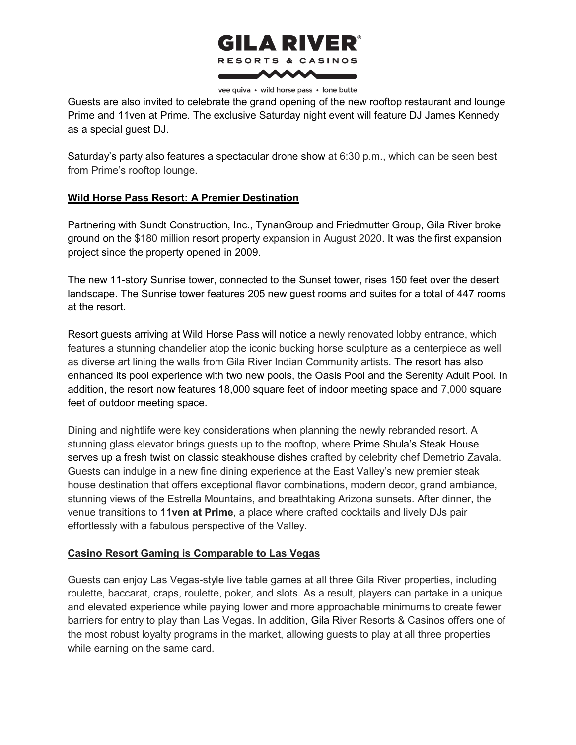# **GILA RIVER®** RESORTS & CASINOS ww

vee quiva • wild horse pass • lone butte

Guests are also invited to celebrate the grand opening of the new rooftop restaurant and lounge Prime and 11ven at Prime. The exclusive Saturday night event will feature DJ James Kennedy as a special guest DJ.

Saturday's party also features a spectacular drone show at 6:30 p.m., which can be seen best from Prime's rooftop lounge.

### **Wild Horse Pass Resort: A Premier Destination**

Partnering with Sundt Construction, Inc., TynanGroup and Friedmutter Group, Gila River broke ground on the \$180 million resort property expansion in August 2020. It was the first expansion project since the property opened in 2009.

The new 11-story Sunrise tower, connected to the Sunset tower, rises 150 feet over the desert landscape. The Sunrise tower features 205 new guest rooms and suites for a total of 447 rooms at the resort.

Resort guests arriving at Wild Horse Pass will notice a newly renovated lobby entrance, which features a stunning chandelier atop the iconic bucking horse sculpture as a centerpiece as well as diverse art lining the walls from Gila River Indian Community artists. The resort has also enhanced its pool experience with two new pools, the Oasis Pool and the Serenity Adult Pool. In addition, the resort now features 18,000 square feet of indoor meeting space and 7,000 square feet of outdoor meeting space.

Dining and nightlife were key considerations when planning the newly rebranded resort. A stunning glass elevator brings guests up to the rooftop, where Prime Shula's Steak House serves up a fresh twist on classic steakhouse dishes crafted by celebrity chef Demetrio Zavala. Guests can indulge in a new fine dining experience at the East Valley's new premier steak house destination that offers exceptional flavor combinations, modern decor, grand ambiance, stunning views of the Estrella Mountains, and breathtaking Arizona sunsets. After dinner, the venue transitions to **11ven at Prime**, a place where crafted cocktails and lively DJs pair effortlessly with a fabulous perspective of the Valley.

#### **Casino Resort Gaming is Comparable to Las Vegas**

Guests can enjoy Las Vegas-style live table games at all three Gila River properties, including roulette, baccarat, craps, roulette, poker, and slots. As a result, players can partake in a unique and elevated experience while paying lower and more approachable minimums to create fewer barriers for entry to play than Las Vegas. In addition, Gila River Resorts & Casinos offers one of the most robust loyalty programs in the market, allowing guests to play at all three properties while earning on the same card.